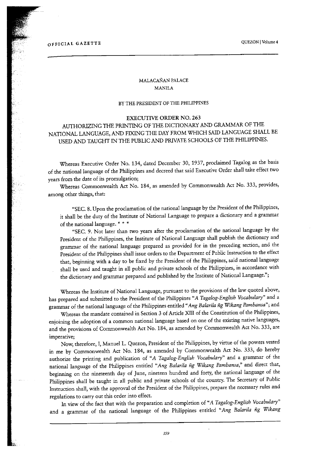## OFFICIAL GAZETTE QUEZON I Volume 4

## MALACANAN PAI.ACE MANILA

## BY THE PRESIDENT OF THE PHILIPPINES

#### EXECUTIVE ORDER NO. 263

# AUTHORIZING THE PRINTING OF THE DICTIONARY AND GRAMMAR OF THE NATIONAL LANGUAGE, AND FIXING THE DAY FROM WHICH SAID LANGUAGE SHALL BE USED AND TAUGHT IN THE PUBLIC AND PRIVATE SCHOOLS OF THE PHILIPPINES.

Whereas Executive Order No. 134, dated December 30, 1937, proclaimed Tagalog as the basis of the national language of the Philippines and decreed that said Executive Order shall take effect two years from the date of its promulgation;

Whereas Commonwealth Act No.184, as amended by Commonwealth Act No. 333, provides, among other things, that:

•`SEC. 8. Upon the proclamation of the national language by the I'resident of the Philippines, it shall be the duty of the Institute of National Language to prepare a dictionary and a grammar of the national language. \* \* \*

"SEC. 9. Not later than two years after the proclamation of the national language by the President of the Philippines, the Institute of National Language shall publish the dictionary and grammar of the national language prepared as provided for in the preceding section, and the President of the Philippines shall issue orders to the Department of Public Instruction to the effect that, beginning with a day to be fixed by the President of the Philippines, said national language shall be used and taught in all public and private schools of the Philippines, in accordance with the dictionary and grammar prepared and published by the Institute of National Language.";

Whereas the Institute of National Language, pursuant to the provisions of the law quoted above, has prepared and submitted to the President of the Philippines "A Tagalog-English Vocabulary" and a grammar of the national language of the Philippines entitled "Ang Balarila ng Wikang Pambansa"; and

Whereas the mandate contained in Section 3 of Article XIII of the Constitution of the Philippines, enjoining the adoption of a common national language based on one of the existing native languages, and the provisions of Commonwealth Act No.184, as amended by Commonwealth Act No. 333, are imperative;

Now, therefore, I, Manuel L. Quezon, President of the Philippines, by virtue of the powers vested in me by Commonwealth Act No. 184, as amended by Commonwealth Act No. 333, do hereby authorize the printing and publication of "A Tagalog-English Vocabulary" and a grammar of the national language of the Philippines entitled "Ang Balarila ñg Wikang Pambansa," and direct that, beginning on the nineteenth day of June, nineteen hundred and forty, the national language of the Philippines shall be taught in all public and private schools of the country. The Secretary of Public Instruction shall, with the approval of the President of the Philippines, prepare the necessary rules and regulations to carry out this order into effect.

In view of the fact that with the preparation and completion of "A Tagalog-English Vocabulary" and a grammar of the national language of the Philippines entitled "Ang Balarila ñg Wikang